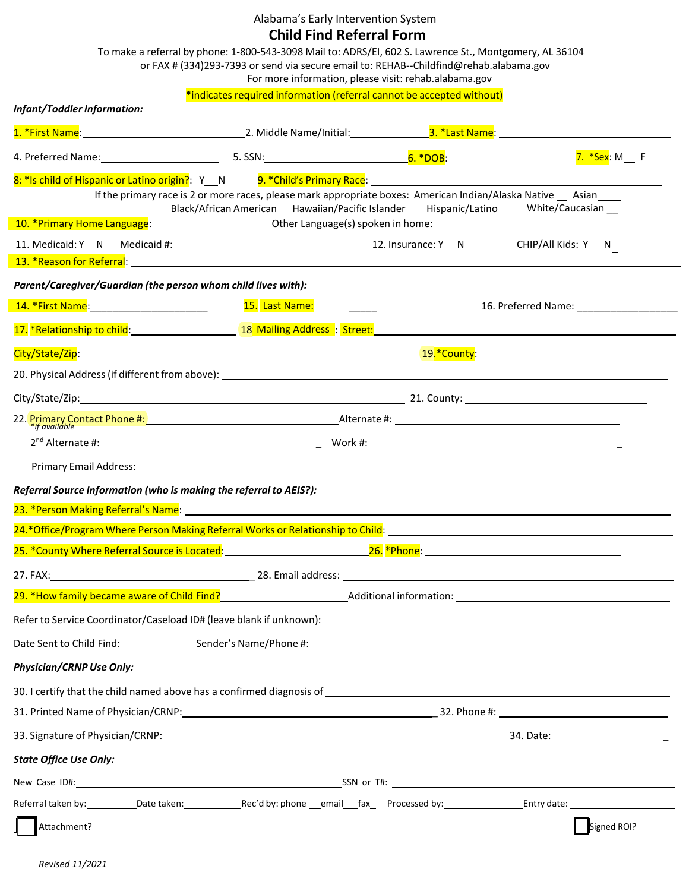Alabama's Early Intervention System

## **Child Find Referral Form**

 $\overline{\phantom{0}}$ 

|                                                                                                                                                                                                                                | To make a referral by phone: 1-800-543-3098 Mail to: ADRS/EI, 602 S. Lawrence St., Montgomery, AL 36104<br>or FAX # (334)293-7393 or send via secure email to: REHAB--Childfind@rehab.alabama.gov<br>For more information, please visit: rehab.alabama.gov |                                  |
|--------------------------------------------------------------------------------------------------------------------------------------------------------------------------------------------------------------------------------|------------------------------------------------------------------------------------------------------------------------------------------------------------------------------------------------------------------------------------------------------------|----------------------------------|
| <b>Infant/Toddler Information:</b>                                                                                                                                                                                             | *indicates required information (referral cannot be accepted without)                                                                                                                                                                                      |                                  |
|                                                                                                                                                                                                                                |                                                                                                                                                                                                                                                            |                                  |
|                                                                                                                                                                                                                                |                                                                                                                                                                                                                                                            | <mark>7. *Sex</mark> : M____F __ |
| 8: *Is child of Hispanic or Latino origin?: Y__N direction 9. *Child's Primary Race: the control of Hispanic or Latino origin?: Y__N direction 9. *Child's Primary Race:                                                       |                                                                                                                                                                                                                                                            |                                  |
|                                                                                                                                                                                                                                | If the primary race is 2 or more races, please mark appropriate boxes: American Indian/Alaska Native __ Asian ____<br>Black/African American___Hawaiian/Pacific Islander_____Hispanic/Latino _____White/Caucasian ___                                      |                                  |
| 10. *Primary Home Language: 10. *Primary Home Language (s) spoken in home: 10. *Primary Home Language: 10. *Primary Home Language:                                                                                             | 12. Insurance: Y N CHIP/All Kids: Y N                                                                                                                                                                                                                      |                                  |
|                                                                                                                                                                                                                                |                                                                                                                                                                                                                                                            |                                  |
| Parent/Caregiver/Guardian (the person whom child lives with):                                                                                                                                                                  |                                                                                                                                                                                                                                                            |                                  |
| 14. *First Name: 19. 2002. [15.] Last Name: 15. [15] Last Name: 2003. [16. Preferred Name: 2008. [16. Preferred Name: 2008.] [16. Preferred Name: 2008.] [16. Preferred Name: 2008.] [16. Preferred Name: 2008.] [16. Preferre |                                                                                                                                                                                                                                                            |                                  |
| 17. *Relationship to child: 18 Mailing Address : Street: 17. *Relationship to child:                                                                                                                                           |                                                                                                                                                                                                                                                            |                                  |
|                                                                                                                                                                                                                                |                                                                                                                                                                                                                                                            |                                  |
|                                                                                                                                                                                                                                |                                                                                                                                                                                                                                                            |                                  |
|                                                                                                                                                                                                                                |                                                                                                                                                                                                                                                            |                                  |
|                                                                                                                                                                                                                                |                                                                                                                                                                                                                                                            |                                  |
|                                                                                                                                                                                                                                |                                                                                                                                                                                                                                                            |                                  |
|                                                                                                                                                                                                                                |                                                                                                                                                                                                                                                            |                                  |
| Referral Source Information (who is making the referral to AEIS?):                                                                                                                                                             |                                                                                                                                                                                                                                                            |                                  |
| 23. *Person Making Referral's Name: Name: 2008 Contract Contract Contract Contract Contract Contract Contract Contract Contract Contract Contract Contract Contract Contract Contract Contract Contract Contract Contract Cont |                                                                                                                                                                                                                                                            |                                  |
| 24.*Office/Program Where Person Making Referral Works or Relationship to Child:                                                                                                                                                |                                                                                                                                                                                                                                                            |                                  |
|                                                                                                                                                                                                                                |                                                                                                                                                                                                                                                            |                                  |
| 27. FAX: 12. 12. 28. Email address: 12. 28. Email and Press. 27. FAX: 12. 27. FAX:                                                                                                                                             |                                                                                                                                                                                                                                                            |                                  |
| 29. *How family became aware of Child Find?<br>29. *How family became aware of Child Find?<br>29. *How family became aware of Child Find?                                                                                      |                                                                                                                                                                                                                                                            |                                  |
|                                                                                                                                                                                                                                |                                                                                                                                                                                                                                                            |                                  |
|                                                                                                                                                                                                                                |                                                                                                                                                                                                                                                            |                                  |
| <b>Physician/CRNP Use Only:</b>                                                                                                                                                                                                |                                                                                                                                                                                                                                                            |                                  |
|                                                                                                                                                                                                                                |                                                                                                                                                                                                                                                            |                                  |
|                                                                                                                                                                                                                                |                                                                                                                                                                                                                                                            |                                  |
|                                                                                                                                                                                                                                |                                                                                                                                                                                                                                                            |                                  |
| <b>State Office Use Only:</b>                                                                                                                                                                                                  |                                                                                                                                                                                                                                                            |                                  |
|                                                                                                                                                                                                                                |                                                                                                                                                                                                                                                            |                                  |
|                                                                                                                                                                                                                                |                                                                                                                                                                                                                                                            |                                  |
| Attachment? Attachment?                                                                                                                                                                                                        |                                                                                                                                                                                                                                                            | Signed ROI?                      |